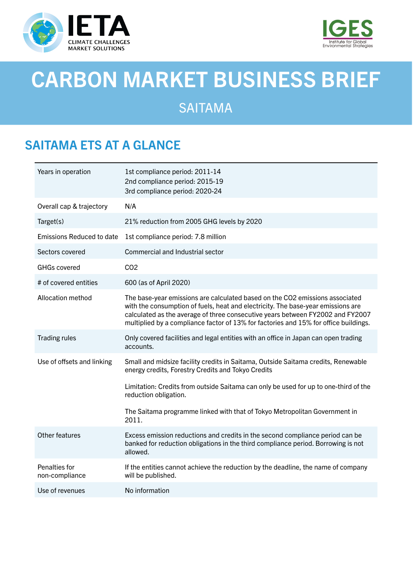



# CARBON MARKET BUSINESS BRIEF

SAITAMA

### SAITAMA ETS AT A GLANCE

| Years in operation               | 1st compliance period: 2011-14<br>2nd compliance period: 2015-19<br>3rd compliance period: 2020-24                                                                                                                                                                                                                                         |
|----------------------------------|--------------------------------------------------------------------------------------------------------------------------------------------------------------------------------------------------------------------------------------------------------------------------------------------------------------------------------------------|
| Overall cap & trajectory         | N/A                                                                                                                                                                                                                                                                                                                                        |
| Target(s)                        | 21% reduction from 2005 GHG levels by 2020                                                                                                                                                                                                                                                                                                 |
| <b>Emissions Reduced to date</b> | 1st compliance period: 7.8 million                                                                                                                                                                                                                                                                                                         |
| Sectors covered                  | Commercial and Industrial sector                                                                                                                                                                                                                                                                                                           |
| <b>GHGs covered</b>              | CO <sub>2</sub>                                                                                                                                                                                                                                                                                                                            |
| # of covered entities            | 600 (as of April 2020)                                                                                                                                                                                                                                                                                                                     |
| Allocation method                | The base-year emissions are calculated based on the CO2 emissions associated<br>with the consumption of fuels, heat and electricity. The base-year emissions are<br>calculated as the average of three consecutive years between FY2002 and FY2007<br>multiplied by a compliance factor of 13% for factories and 15% for office buildings. |
| <b>Trading rules</b>             | Only covered facilities and legal entities with an office in Japan can open trading<br>accounts.                                                                                                                                                                                                                                           |
| Use of offsets and linking       | Small and midsize facility credits in Saitama, Outside Saitama credits, Renewable<br>energy credits, Forestry Credits and Tokyo Credits                                                                                                                                                                                                    |
|                                  | Limitation: Credits from outside Saitama can only be used for up to one-third of the<br>reduction obligation.                                                                                                                                                                                                                              |
|                                  | The Saitama programme linked with that of Tokyo Metropolitan Government in<br>2011.                                                                                                                                                                                                                                                        |
| Other features                   | Excess emission reductions and credits in the second compliance period can be<br>banked for reduction obligations in the third compliance period. Borrowing is not<br>allowed.                                                                                                                                                             |
| Penalties for<br>non-compliance  | If the entities cannot achieve the reduction by the deadline, the name of company<br>will be published.                                                                                                                                                                                                                                    |
| Use of revenues                  | No information                                                                                                                                                                                                                                                                                                                             |